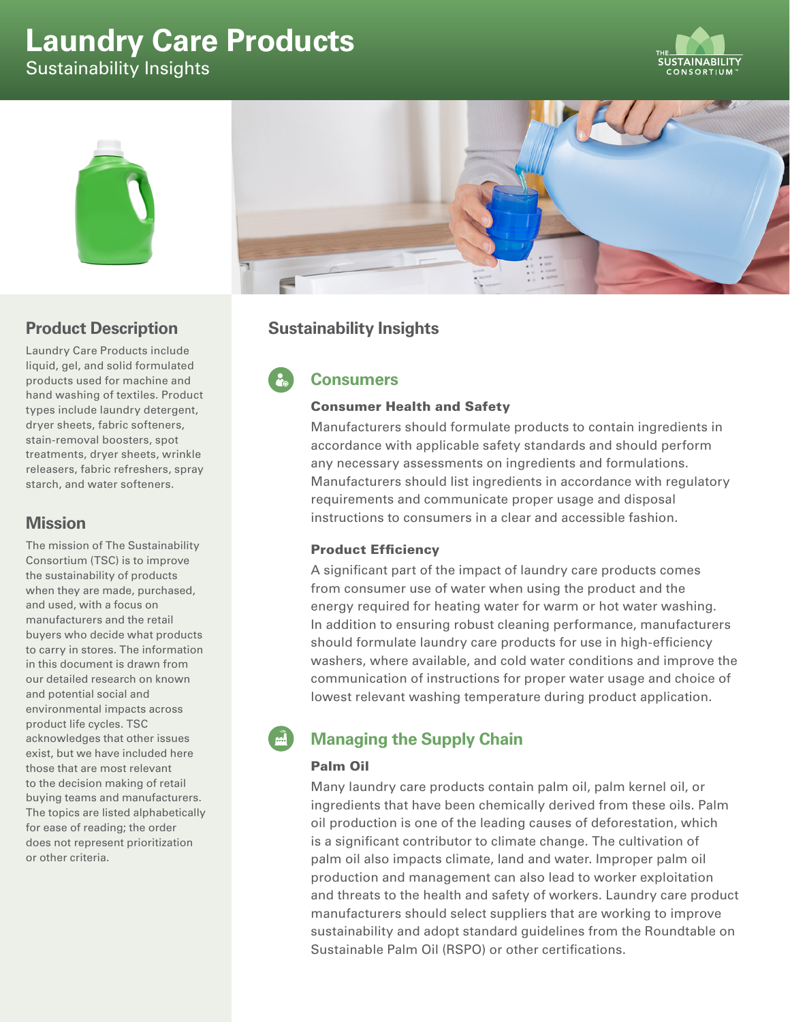# **Laundry Care Products** Sustainability Insights





# **Product Description**

Laundry Care Products include liquid, gel, and solid formulated products used for machine and hand washing of textiles. Product types include laundry detergent, dryer sheets, fabric softeners, stain-removal boosters, spot treatments, dryer sheets, wrinkle releasers, fabric refreshers, spray starch, and water softeners.

## **Mission**

The mission of The Sustainability Consortium (TSC) is to improve the sustainability of products when they are made, purchased, and used, with a focus on manufacturers and the retail buyers who decide what products to carry in stores. The information in this document is drawn from our detailed research on known and potential social and environmental impacts across product life cycles. TSC acknowledges that other issues exist, but we have included here those that are most relevant to the decision making of retail buying teams and manufacturers. The topics are listed alphabetically for ease of reading; the order does not represent prioritization or other criteria.



# **Sustainability Insights**

# **Consumers**

#### Consumer Health and Safety

Manufacturers should formulate products to contain ingredients in accordance with applicable safety standards and should perform any necessary assessments on ingredients and formulations. Manufacturers should list ingredients in accordance with regulatory requirements and communicate proper usage and disposal instructions to consumers in a clear and accessible fashion.

### Product Efficiency

A significant part of the impact of laundry care products comes from consumer use of water when using the product and the energy required for heating water for warm or hot water washing. In addition to ensuring robust cleaning performance, manufacturers should formulate laundry care products for use in high-efficiency washers, where available, and cold water conditions and improve the communication of instructions for proper water usage and choice of lowest relevant washing temperature during product application.

# **Managing the Supply Chain**

### Palm Oil

Many laundry care products contain palm oil, palm kernel oil, or ingredients that have been chemically derived from these oils. Palm oil production is one of the leading causes of deforestation, which is a significant contributor to climate change. The cultivation of palm oil also impacts climate, land and water. Improper palm oil production and management can also lead to worker exploitation and threats to the health and safety of workers. Laundry care product manufacturers should select suppliers that are working to improve sustainability and adopt standard guidelines from the Roundtable on Sustainable Palm Oil (RSPO) or other certifications.